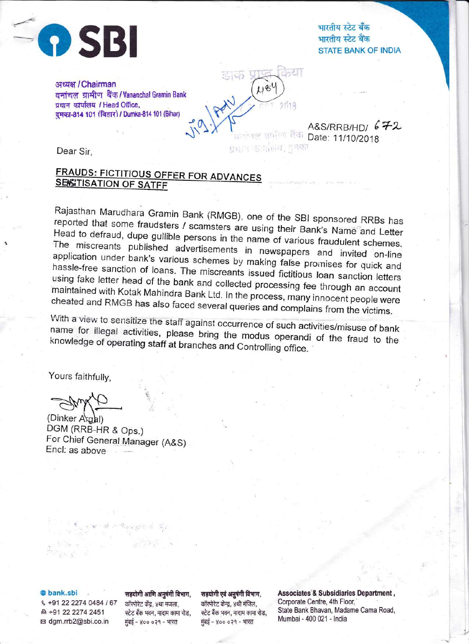

भारतीय स्टेट बँक<br>भारतीय स्टेट बैंक STATE BANK OF INDIA

अध्यक्ष / Chairman वनांचल ग्रामीण बैंक / Vananchal Gramin Bank प्रधान कार्यालय / Head Office, दमका-814 101 (विहार) / Dumka-814 101 (Bihar)

> A&S/RRB/HD/  $672$ ।<br>'समाना कार्यालय, हुमका<br>प्रधान कार्यालय, हुमका

Dear Sir,

# FRAUDS: FICTITIOUS OFFER FOR ADVANCES<br>SEISITISATION OF SATFF

Rajasthan Marudhara Gramin Bank (RMGB), one of the SBI sponsored RRBs has<br>reported that some fraudsters / scamsters are wish it is a Head to defraud, dupe gullible persons in the name of various fraudulent schemes.<br>The miscreants published advertisements in newspapers, and invited on line reported that some fraudsters / scamsters are using their Bank's Name and Letter The miscreants published advertisements in newspapers and invited on-line application under bank's various schemes by making false promises for quick and<br>hassle-free sanction of loans. The miscreants issued fictitious loan sanction letters using hassle-free sanction of loans. The miscreants issued fictitious loan sanction letters<br>using fake letter head of the bank and collected processing fee through an account<br>maintained with Kotak Mahindra Bank Ltd. In the proce cheated and RMGB Kotak Mahindra Bank Ltd. In the process, many innocent people were<br>GB has also faced several queries and complains from the victims.

डाक

 $148$ 

name for a view to sensitize the staff against occurrence of such activities/misuse of bank<br>Lifer illegal, activities , ploase, htis , , , , knowledge illegal activities, please bring the modus operandi of the fraud to the of operating staff at branches and Controlling office. knowledge of operating staff at branches and Controlling office.

Yours faithfully,

(Dinker Argal) DGM (RRB-HR & Ops.) For Chief General Manager (A&S) Encl: as above

 $\mathcal{F}_{\mathcal{F}_{\mathcal{F}}}=\left\langle \mathbf{v}^{\mathcal{F}_{\mathcal{F}}} \right\rangle \otimes \mathcal{F}_{\mathcal{F}_{\mathcal{F}}}^{\mathcal{F}_{\mathcal{F}}}$ 

& +91 22 2274 0484 / 67 कॉरपोरेट केंद्र, ४था मजला, कॉरपोरेट केन्द्र, ४थी मंजिल,<br>श्री +91 22 2274 2451 स्टेट बँक भवन, मादाम कामा रोड, स्टेट बैंक भवन, मादाम कामा रोड, ब्ब dgm.rrb2@sbi.co.in iii मुंबई - ४०० ०२१ - भारत प्रांबई - ४०० ०२१ - भारत

@ bank.sbi rfqhftittFrs{gqlfrfum, rdqhftqtsr{'iffftirFr, Associates & Subsidiaries Department, State Bank Bhavan, Madame Cama Road,<br>Mumbai - 400 021 - India

t